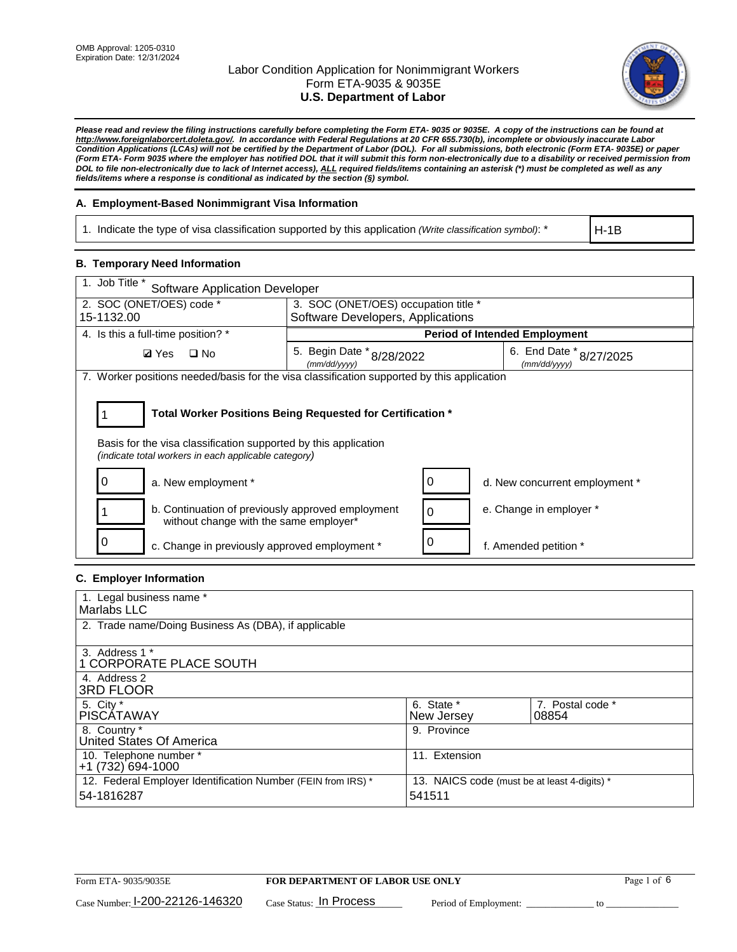

*Please read and review the filing instructions carefully before completing the Form ETA- 9035 or 9035E. A copy of the instructions can be found at http://www.foreignlaborcert.doleta.gov/. In accordance with Federal Regulations at 20 CFR 655.730(b), incomplete or obviously inaccurate Labor Condition Applications (LCAs) will not be certified by the Department of Labor (DOL). For all submissions, both electronic (Form ETA- 9035E) or paper (Form ETA- Form 9035 where the employer has notified DOL that it will submit this form non-electronically due to a disability or received permission from DOL to file non-electronically due to lack of Internet access), ALL required fields/items containing an asterisk (\*) must be completed as well as any fields/items where a response is conditional as indicated by the section (§) symbol.* 

## **A. Employment-Based Nonimmigrant Visa Information**

1. Indicate the type of visa classification supported by this application *(Write classification symbol)*: \*

H-1B

## **B. Temporary Need Information**

| 1. Job Title *<br><b>Software Application Developer</b>                                                                                                                               |                                                                                          |  |                                      |  |
|---------------------------------------------------------------------------------------------------------------------------------------------------------------------------------------|------------------------------------------------------------------------------------------|--|--------------------------------------|--|
| 2. SOC (ONET/OES) code *                                                                                                                                                              | 3. SOC (ONET/OES) occupation title *                                                     |  |                                      |  |
| 15-1132.00                                                                                                                                                                            | Software Developers, Applications                                                        |  |                                      |  |
| 4. Is this a full-time position? *                                                                                                                                                    |                                                                                          |  | <b>Period of Intended Employment</b> |  |
| <b>Ø</b> Yes<br>$\Box$ No                                                                                                                                                             | 6. End Date $*_{8/27/2025}$<br>5. Begin Date * 8/28/2022<br>(mm/dd/yyyy)<br>(mm/dd/yyyy) |  |                                      |  |
| 7. Worker positions needed/basis for the visa classification supported by this application                                                                                            |                                                                                          |  |                                      |  |
| Total Worker Positions Being Requested for Certification *<br>Basis for the visa classification supported by this application<br>(indicate total workers in each applicable category) |                                                                                          |  |                                      |  |
| a. New employment *                                                                                                                                                                   |                                                                                          |  | d. New concurrent employment *       |  |
| b. Continuation of previously approved employment<br>without change with the same employer*                                                                                           |                                                                                          |  | e. Change in employer *              |  |
| c. Change in previously approved employment *                                                                                                                                         |                                                                                          |  | f. Amended petition *                |  |

## **C. Employer Information**

| 1. Legal business name *                                     |                                              |                  |
|--------------------------------------------------------------|----------------------------------------------|------------------|
| Marlabs LLC                                                  |                                              |                  |
| 2. Trade name/Doing Business As (DBA), if applicable         |                                              |                  |
|                                                              |                                              |                  |
| 3. Address 1 *                                               |                                              |                  |
| 1 CORPORATE PLACE SOUTH                                      |                                              |                  |
| 4. Address 2                                                 |                                              |                  |
| <b>3RD FLOOR</b>                                             |                                              |                  |
| 5. City *                                                    | 6. State *                                   | 7. Postal code * |
| PISCÁTAWAY                                                   | New Jersey                                   | 08854            |
| 8. Country *                                                 | 9. Province                                  |                  |
| United States Of America                                     |                                              |                  |
| 10. Telephone number *                                       | 11. Extension                                |                  |
| +1 (732) 694-1000                                            |                                              |                  |
| 12. Federal Employer Identification Number (FEIN from IRS) * | 13. NAICS code (must be at least 4-digits) * |                  |
| 54-1816287                                                   | 541511                                       |                  |
|                                                              |                                              |                  |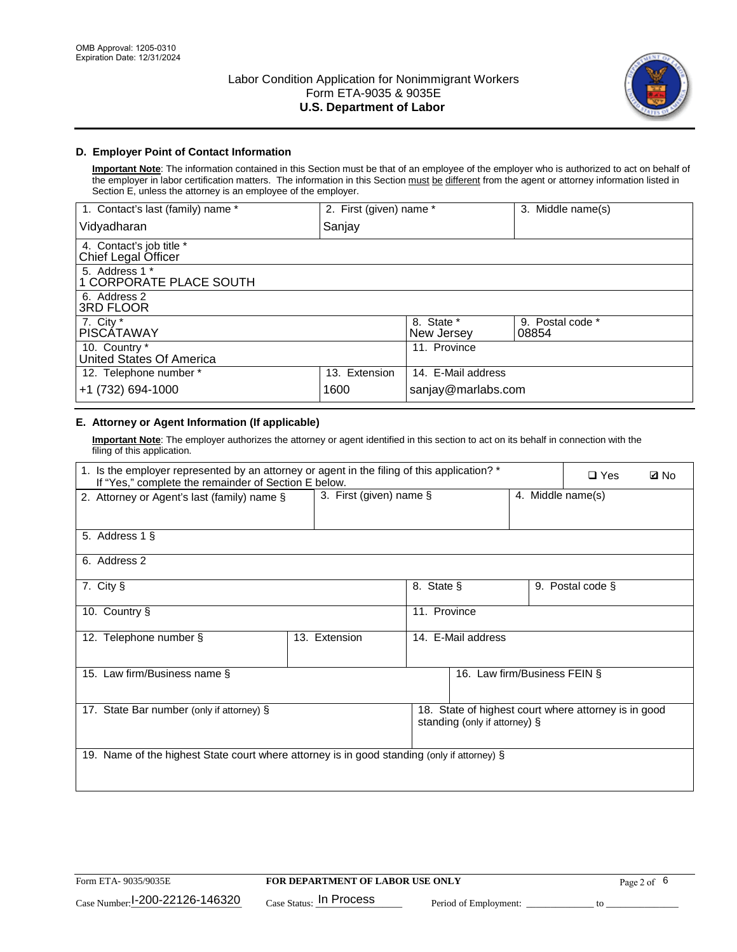

# **D. Employer Point of Contact Information**

**Important Note**: The information contained in this Section must be that of an employee of the employer who is authorized to act on behalf of the employer in labor certification matters. The information in this Section must be different from the agent or attorney information listed in Section E, unless the attorney is an employee of the employer.

| 1. Contact's last (family) name *               | 2. First (given) name * |                          | 3. Middle name(s)         |
|-------------------------------------------------|-------------------------|--------------------------|---------------------------|
| Vidyadharan                                     | Sanjay                  |                          |                           |
| 4. Contact's job title *<br>Chief Legal Officer |                         |                          |                           |
| 5. Address 1 *<br>1 CORPORATE PLACE SOUTH       |                         |                          |                           |
| 6. Address 2<br>3RD FLOOR                       |                         |                          |                           |
| 7. City $*$<br><b>PISCÁTAWAY</b>                |                         | 8. State *<br>New Jersey | 9. Postal code *<br>08854 |
| 10. Country *<br>United States Of America       |                         | 11. Province             |                           |
| 12. Telephone number *                          | 13. Extension           | 14. E-Mail address       |                           |
| +1 (732) 694-1000                               | 1600                    | sanjay@marlabs.com       |                           |

# **E. Attorney or Agent Information (If applicable)**

**Important Note**: The employer authorizes the attorney or agent identified in this section to act on its behalf in connection with the filing of this application.

| 1. Is the employer represented by an attorney or agent in the filing of this application? *<br>If "Yes," complete the remainder of Section E below. |               |                                              |                               |  | $\square$ Yes                                        | <b>ØNo</b> |
|-----------------------------------------------------------------------------------------------------------------------------------------------------|---------------|----------------------------------------------|-------------------------------|--|------------------------------------------------------|------------|
| 2. Attorney or Agent's last (family) name §                                                                                                         |               | 3. First (given) name §<br>4. Middle name(s) |                               |  |                                                      |            |
| 5. Address 1 §                                                                                                                                      |               |                                              |                               |  |                                                      |            |
| 6. Address 2                                                                                                                                        |               |                                              |                               |  |                                                      |            |
| 7. City §                                                                                                                                           |               | 8. State §                                   |                               |  | 9. Postal code §                                     |            |
| 10. Country §                                                                                                                                       |               | 11. Province                                 |                               |  |                                                      |            |
| 12. Telephone number §                                                                                                                              | 13. Extension |                                              | 14. E-Mail address            |  |                                                      |            |
| 15. Law firm/Business name §                                                                                                                        |               |                                              | 16. Law firm/Business FEIN §  |  |                                                      |            |
| 17. State Bar number (only if attorney) §                                                                                                           |               |                                              | standing (only if attorney) § |  | 18. State of highest court where attorney is in good |            |
| 19. Name of the highest State court where attorney is in good standing (only if attorney) §                                                         |               |                                              |                               |  |                                                      |            |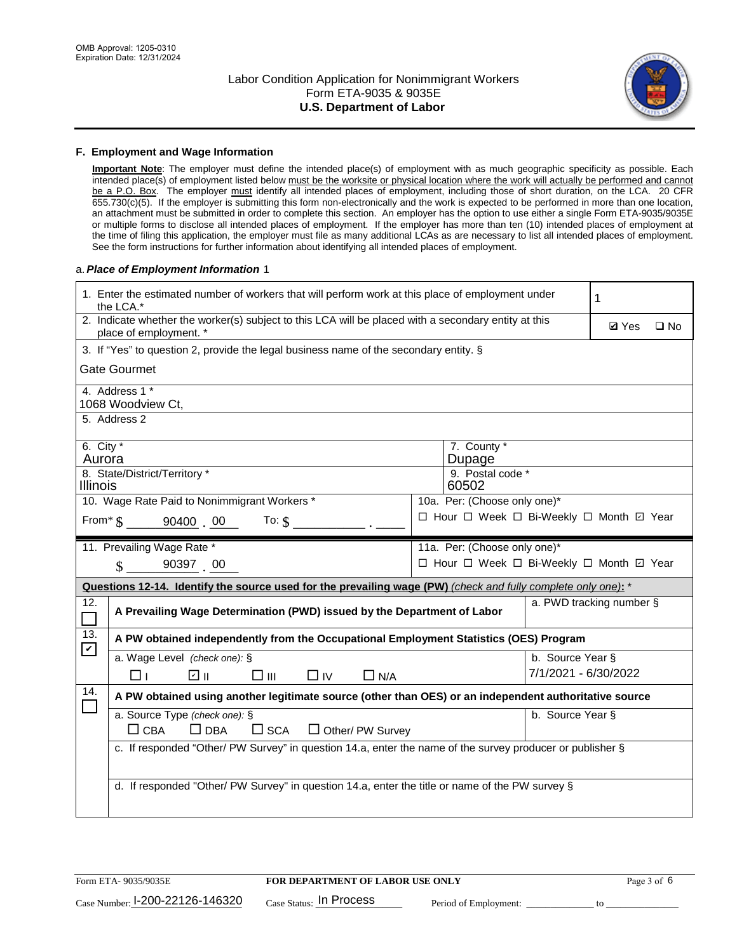

### **F. Employment and Wage Information**

**Important Note**: The employer must define the intended place(s) of employment with as much geographic specificity as possible. Each intended place(s) of employment listed below must be the worksite or physical location where the work will actually be performed and cannot be a P.O. Box. The employer must identify all intended places of employment, including those of short duration, on the LCA. 20 CFR 655.730(c)(5). If the employer is submitting this form non-electronically and the work is expected to be performed in more than one location, an attachment must be submitted in order to complete this section. An employer has the option to use either a single Form ETA-9035/9035E or multiple forms to disclose all intended places of employment. If the employer has more than ten (10) intended places of employment at the time of filing this application, the employer must file as many additional LCAs as are necessary to list all intended places of employment. See the form instructions for further information about identifying all intended places of employment.

## a.*Place of Employment Information* 1

| 1. Enter the estimated number of workers that will perform work at this place of employment under<br>the LCA.* |                                                                                                                                |  |                                          |                      | 1                        |              |
|----------------------------------------------------------------------------------------------------------------|--------------------------------------------------------------------------------------------------------------------------------|--|------------------------------------------|----------------------|--------------------------|--------------|
|                                                                                                                | 2. Indicate whether the worker(s) subject to this LCA will be placed with a secondary entity at this<br>place of employment. * |  |                                          |                      | <b>Ø</b> Yes             | $\square$ No |
|                                                                                                                | 3. If "Yes" to question 2, provide the legal business name of the secondary entity. §                                          |  |                                          |                      |                          |              |
|                                                                                                                | <b>Gate Gourmet</b>                                                                                                            |  |                                          |                      |                          |              |
|                                                                                                                | 4. Address 1 *<br>1068 Woodview Ct,                                                                                            |  |                                          |                      |                          |              |
|                                                                                                                | 5. Address 2                                                                                                                   |  |                                          |                      |                          |              |
| 6. City $*$<br>Aurora                                                                                          |                                                                                                                                |  | 7. County *<br>Dupage                    |                      |                          |              |
| Illinois                                                                                                       | 8. State/District/Territory *                                                                                                  |  | 9. Postal code *<br>60502                |                      |                          |              |
| 10. Wage Rate Paid to Nonimmigrant Workers *<br>10a. Per: (Choose only one)*                                   |                                                                                                                                |  |                                          |                      |                          |              |
|                                                                                                                | □ Hour □ Week □ Bi-Weekly □ Month 回 Year<br>From * \$ 90400 00<br>To: $$$                                                      |  |                                          |                      |                          |              |
|                                                                                                                | 11. Prevailing Wage Rate *                                                                                                     |  | 11a. Per: (Choose only one)*             |                      |                          |              |
|                                                                                                                | 90397 00<br>$\mathbf{\hat{S}}$                                                                                                 |  | □ Hour □ Week □ Bi-Weekly □ Month □ Year |                      |                          |              |
|                                                                                                                | Questions 12-14. Identify the source used for the prevailing wage (PW) (check and fully complete only one): *                  |  |                                          |                      |                          |              |
| 12.<br>$\Box$                                                                                                  | A Prevailing Wage Determination (PWD) issued by the Department of Labor                                                        |  |                                          |                      | a. PWD tracking number § |              |
| 13.                                                                                                            | A PW obtained independently from the Occupational Employment Statistics (OES) Program                                          |  |                                          |                      |                          |              |
| $\mathbf v$                                                                                                    | a. Wage Level (check one): §                                                                                                   |  |                                          | b. Source Year §     |                          |              |
|                                                                                                                | ☑ ॥<br>$\square$ $\square$<br>$\square$ IV<br>$\Box$ N/A<br>⊓⊥                                                                 |  |                                          | 7/1/2021 - 6/30/2022 |                          |              |
| 14.                                                                                                            | A PW obtained using another legitimate source (other than OES) or an independent authoritative source                          |  |                                          |                      |                          |              |
|                                                                                                                | a. Source Type (check one): §<br>$\Box$ CBA<br>$\Box$ DBA<br>$\square$ SCA<br>$\Box$ Other/ PW Survey                          |  |                                          | b. Source Year §     |                          |              |
|                                                                                                                | c. If responded "Other/ PW Survey" in question 14.a, enter the name of the survey producer or publisher §                      |  |                                          |                      |                          |              |
|                                                                                                                | d. If responded "Other/ PW Survey" in question 14.a, enter the title or name of the PW survey §                                |  |                                          |                      |                          |              |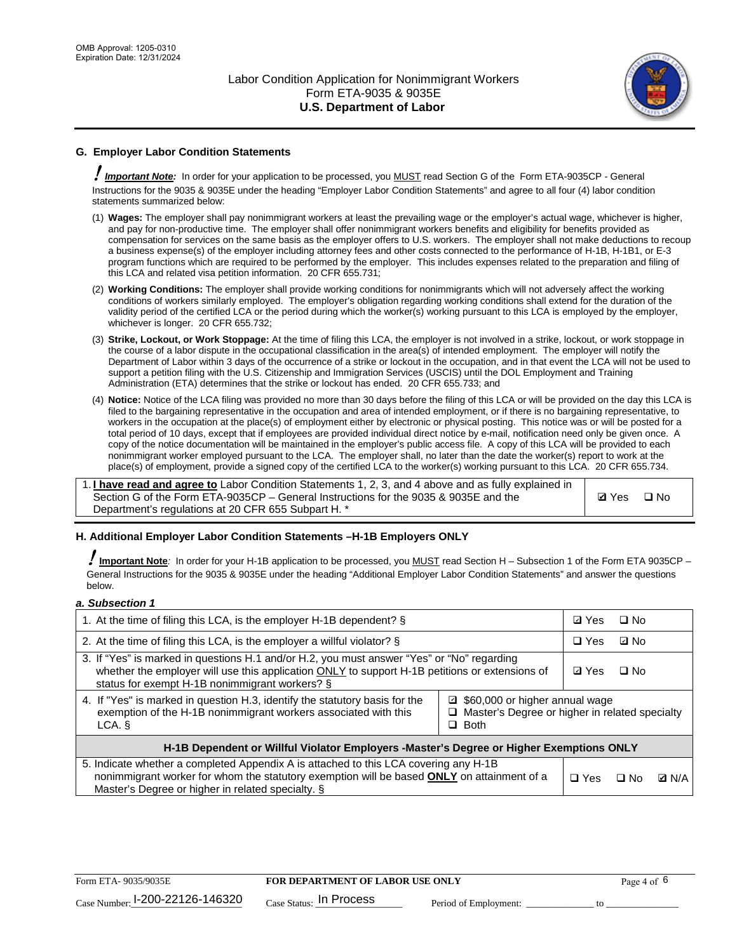

# **G. Employer Labor Condition Statements**

! *Important Note:* In order for your application to be processed, you MUST read Section G of the Form ETA-9035CP - General Instructions for the 9035 & 9035E under the heading "Employer Labor Condition Statements" and agree to all four (4) labor condition statements summarized below:

- (1) **Wages:** The employer shall pay nonimmigrant workers at least the prevailing wage or the employer's actual wage, whichever is higher, and pay for non-productive time. The employer shall offer nonimmigrant workers benefits and eligibility for benefits provided as compensation for services on the same basis as the employer offers to U.S. workers. The employer shall not make deductions to recoup a business expense(s) of the employer including attorney fees and other costs connected to the performance of H-1B, H-1B1, or E-3 program functions which are required to be performed by the employer. This includes expenses related to the preparation and filing of this LCA and related visa petition information. 20 CFR 655.731;
- (2) **Working Conditions:** The employer shall provide working conditions for nonimmigrants which will not adversely affect the working conditions of workers similarly employed. The employer's obligation regarding working conditions shall extend for the duration of the validity period of the certified LCA or the period during which the worker(s) working pursuant to this LCA is employed by the employer, whichever is longer. 20 CFR 655.732;
- (3) **Strike, Lockout, or Work Stoppage:** At the time of filing this LCA, the employer is not involved in a strike, lockout, or work stoppage in the course of a labor dispute in the occupational classification in the area(s) of intended employment. The employer will notify the Department of Labor within 3 days of the occurrence of a strike or lockout in the occupation, and in that event the LCA will not be used to support a petition filing with the U.S. Citizenship and Immigration Services (USCIS) until the DOL Employment and Training Administration (ETA) determines that the strike or lockout has ended. 20 CFR 655.733; and
- (4) **Notice:** Notice of the LCA filing was provided no more than 30 days before the filing of this LCA or will be provided on the day this LCA is filed to the bargaining representative in the occupation and area of intended employment, or if there is no bargaining representative, to workers in the occupation at the place(s) of employment either by electronic or physical posting. This notice was or will be posted for a total period of 10 days, except that if employees are provided individual direct notice by e-mail, notification need only be given once. A copy of the notice documentation will be maintained in the employer's public access file. A copy of this LCA will be provided to each nonimmigrant worker employed pursuant to the LCA. The employer shall, no later than the date the worker(s) report to work at the place(s) of employment, provide a signed copy of the certified LCA to the worker(s) working pursuant to this LCA. 20 CFR 655.734.

1. **I have read and agree to** Labor Condition Statements 1, 2, 3, and 4 above and as fully explained in Section G of the Form ETA-9035CP – General Instructions for the 9035 & 9035E and the Department's regulations at 20 CFR 655 Subpart H. \*

**Ø**Yes ロNo

## **H. Additional Employer Labor Condition Statements –H-1B Employers ONLY**

!**Important Note***:* In order for your H-1B application to be processed, you MUST read Section H – Subsection 1 of the Form ETA 9035CP – General Instructions for the 9035 & 9035E under the heading "Additional Employer Labor Condition Statements" and answer the questions below.

#### *a. Subsection 1*

| 1. At the time of filing this LCA, is the employer H-1B dependent? §                                                                                                                                                                                            |  | ⊡ Yes      | $\square$ No |              |
|-----------------------------------------------------------------------------------------------------------------------------------------------------------------------------------------------------------------------------------------------------------------|--|------------|--------------|--------------|
| 2. At the time of filing this LCA, is the employer a willful violator? $\S$                                                                                                                                                                                     |  |            | ⊡ No         |              |
| 3. If "Yes" is marked in questions H.1 and/or H.2, you must answer "Yes" or "No" regarding<br>whether the employer will use this application ONLY to support H-1B petitions or extensions of<br>status for exempt H-1B nonimmigrant workers? §                  |  |            | $\Box$ No    |              |
| 4. If "Yes" is marked in question H.3, identify the statutory basis for the<br>■ \$60,000 or higher annual wage<br>exemption of the H-1B nonimmigrant workers associated with this<br>□ Master's Degree or higher in related specialty<br>$\Box$ Both<br>LCA. § |  |            |              |              |
| H-1B Dependent or Willful Violator Employers -Master's Degree or Higher Exemptions ONLY                                                                                                                                                                         |  |            |              |              |
| 5. Indicate whether a completed Appendix A is attached to this LCA covering any H-1B<br>nonimmigrant worker for whom the statutory exemption will be based <b>ONLY</b> on attainment of a<br>Master's Degree or higher in related specialty. §                  |  | $\Box$ Yes | ⊡ No         | <b>Q</b> N/A |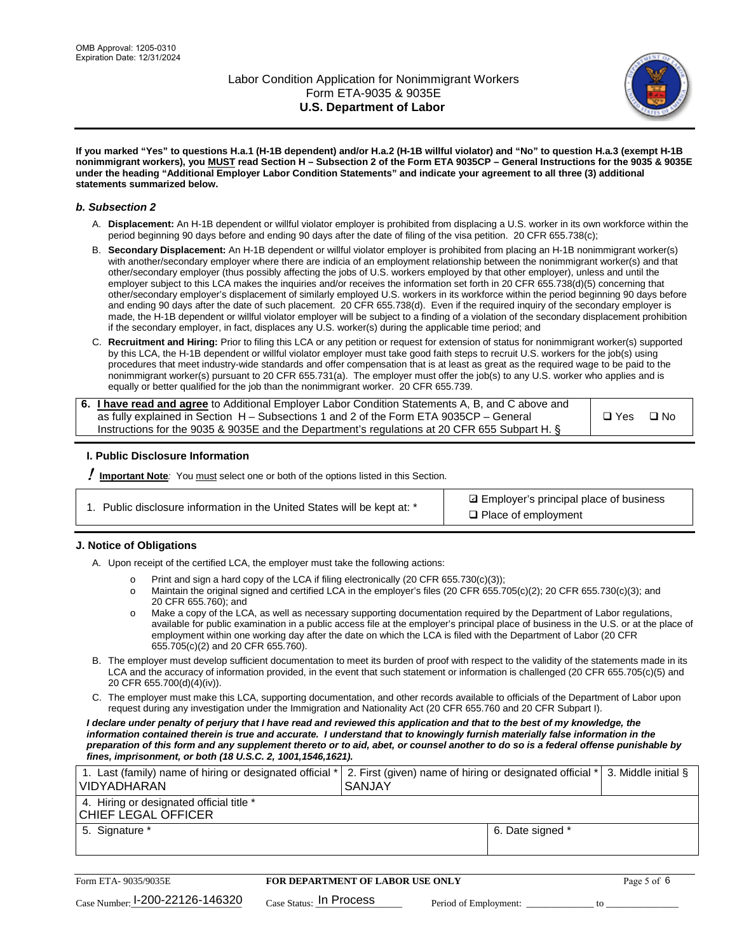

**If you marked "Yes" to questions H.a.1 (H-1B dependent) and/or H.a.2 (H-1B willful violator) and "No" to question H.a.3 (exempt H-1B nonimmigrant workers), you MUST read Section H – Subsection 2 of the Form ETA 9035CP – General Instructions for the 9035 & 9035E under the heading "Additional Employer Labor Condition Statements" and indicate your agreement to all three (3) additional statements summarized below.**

#### *b. Subsection 2*

- A. **Displacement:** An H-1B dependent or willful violator employer is prohibited from displacing a U.S. worker in its own workforce within the period beginning 90 days before and ending 90 days after the date of filing of the visa petition. 20 CFR 655.738(c);
- B. **Secondary Displacement:** An H-1B dependent or willful violator employer is prohibited from placing an H-1B nonimmigrant worker(s) with another/secondary employer where there are indicia of an employment relationship between the nonimmigrant worker(s) and that other/secondary employer (thus possibly affecting the jobs of U.S. workers employed by that other employer), unless and until the employer subject to this LCA makes the inquiries and/or receives the information set forth in 20 CFR 655.738(d)(5) concerning that other/secondary employer's displacement of similarly employed U.S. workers in its workforce within the period beginning 90 days before and ending 90 days after the date of such placement. 20 CFR 655.738(d). Even if the required inquiry of the secondary employer is made, the H-1B dependent or willful violator employer will be subject to a finding of a violation of the secondary displacement prohibition if the secondary employer, in fact, displaces any U.S. worker(s) during the applicable time period; and
- C. **Recruitment and Hiring:** Prior to filing this LCA or any petition or request for extension of status for nonimmigrant worker(s) supported by this LCA, the H-1B dependent or willful violator employer must take good faith steps to recruit U.S. workers for the job(s) using procedures that meet industry-wide standards and offer compensation that is at least as great as the required wage to be paid to the nonimmigrant worker(s) pursuant to 20 CFR 655.731(a). The employer must offer the job(s) to any U.S. worker who applies and is equally or better qualified for the job than the nonimmigrant worker. 20 CFR 655.739.

| 6. I have read and agree to Additional Employer Labor Condition Statements A, B, and C above and |       |           |
|--------------------------------------------------------------------------------------------------|-------|-----------|
| as fully explained in Section H – Subsections 1 and 2 of the Form ETA 9035CP – General           | □ Yes | $\Box$ No |
| Instructions for the 9035 & 9035E and the Department's regulations at 20 CFR 655 Subpart H. §    |       |           |

## **I. Public Disclosure Information**

! **Important Note***:* You must select one or both of the options listed in this Section.

**sqrt** Employer's principal place of business □ Place of employment

## **J. Notice of Obligations**

A. Upon receipt of the certified LCA, the employer must take the following actions:

- o Print and sign a hard copy of the LCA if filing electronically (20 CFR 655.730(c)(3));<br>
Maintain the original signed and certified LCA in the employer's files (20 CFR 655.7
- Maintain the original signed and certified LCA in the employer's files (20 CFR 655.705(c)(2); 20 CFR 655.730(c)(3); and 20 CFR 655.760); and
- o Make a copy of the LCA, as well as necessary supporting documentation required by the Department of Labor regulations, available for public examination in a public access file at the employer's principal place of business in the U.S. or at the place of employment within one working day after the date on which the LCA is filed with the Department of Labor (20 CFR 655.705(c)(2) and 20 CFR 655.760).
- B. The employer must develop sufficient documentation to meet its burden of proof with respect to the validity of the statements made in its LCA and the accuracy of information provided, in the event that such statement or information is challenged (20 CFR 655.705(c)(5) and 20 CFR 655.700(d)(4)(iv)).
- C. The employer must make this LCA, supporting documentation, and other records available to officials of the Department of Labor upon request during any investigation under the Immigration and Nationality Act (20 CFR 655.760 and 20 CFR Subpart I).

*I declare under penalty of perjury that I have read and reviewed this application and that to the best of my knowledge, the*  information contained therein is true and accurate. I understand that to knowingly furnish materially false information in the *preparation of this form and any supplement thereto or to aid, abet, or counsel another to do so is a federal offense punishable by fines, imprisonment, or both (18 U.S.C. 2, 1001,1546,1621).*

| 1. Last (family) name of hiring or designated official *  2. First (given) name of hiring or designated official *  3. Middle initial §<br><b>VIDYADHARAN</b> | <b>SANJAY</b>    |  |
|---------------------------------------------------------------------------------------------------------------------------------------------------------------|------------------|--|
| 4. Hiring or designated official title *<br>CHIEF LEGAL OFFICER                                                                                               |                  |  |
| 5. Signature *                                                                                                                                                | 6. Date signed * |  |